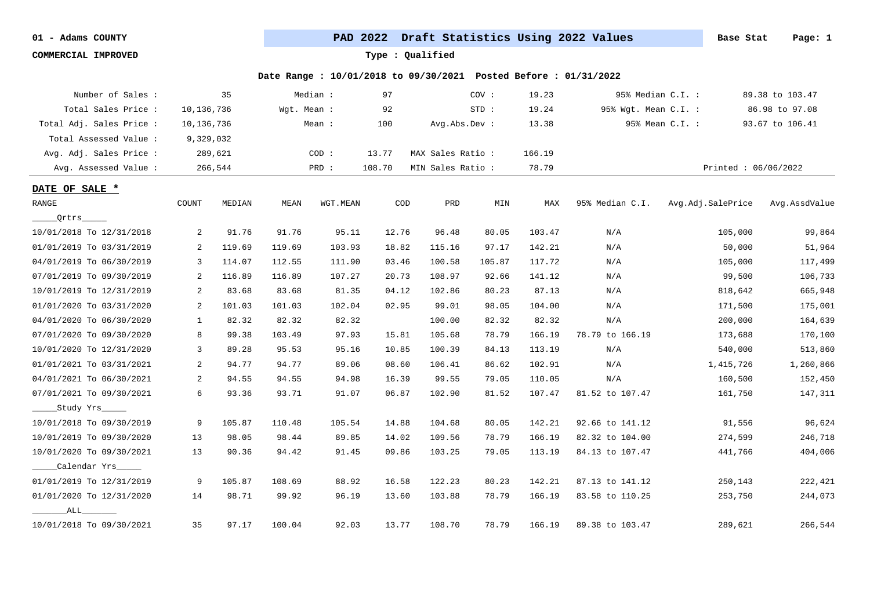**COMMERCIAL IMPROVED Type : Qualified**

| Number of Sales :        |                | 35      |             | Median : | 97     |                   | COV:    | 19.23  |                      | 95% Median C.I. :   | 89.38 to 103.47 |
|--------------------------|----------------|---------|-------------|----------|--------|-------------------|---------|--------|----------------------|---------------------|-----------------|
| Total Sales Price :      | 10,136,736     |         | Wqt. Mean : |          | 92     |                   | $STD$ : | 19.24  | 95% Wgt. Mean C.I. : |                     | 86.98 to 97.08  |
| Total Adj. Sales Price : | 10,136,736     |         |             | Mean :   | 100    | Avg.Abs.Dev :     |         | 13.38  |                      | 95% Mean C.I. :     | 93.67 to 106.41 |
| Total Assessed Value:    | 9,329,032      |         |             |          |        |                   |         |        |                      |                     |                 |
| Avg. Adj. Sales Price :  |                | 289,621 |             | COD:     | 13.77  | MAX Sales Ratio : |         | 166.19 |                      |                     |                 |
| Avg. Assessed Value :    |                | 266,544 |             | PRD :    | 108.70 | MIN Sales Ratio : |         | 78.79  |                      | Printed: 06/06/2022 |                 |
| DATE OF SALE *           |                |         |             |          |        |                   |         |        |                      |                     |                 |
| RANGE                    | COUNT          | MEDIAN  | MEAN        | WGT.MEAN | COD    | PRD               | MIN     | MAX    | 95% Median C.I.      | Avg.Adj.SalePrice   | Avg.AssdValue   |
| _Qrtrs_____              |                |         |             |          |        |                   |         |        |                      |                     |                 |
| 10/01/2018 To 12/31/2018 | 2              | 91.76   | 91.76       | 95.11    | 12.76  | 96.48             | 80.05   | 103.47 | N/A                  | 105,000             | 99,864          |
| 01/01/2019 To 03/31/2019 | 2              | 119.69  | 119.69      | 103.93   | 18.82  | 115.16            | 97.17   | 142.21 | N/A                  | 50,000              | 51,964          |
| 04/01/2019 To 06/30/2019 | 3              | 114.07  | 112.55      | 111.90   | 03.46  | 100.58            | 105.87  | 117.72 | N/A                  | 105,000             | 117,499         |
| 07/01/2019 To 09/30/2019 | 2              | 116.89  | 116.89      | 107.27   | 20.73  | 108.97            | 92.66   | 141.12 | N/A                  | 99,500              | 106,733         |
| 10/01/2019 To 12/31/2019 | 2              | 83.68   | 83.68       | 81.35    | 04.12  | 102.86            | 80.23   | 87.13  | N/A                  | 818,642             | 665,948         |
| 01/01/2020 To 03/31/2020 | 2              | 101.03  | 101.03      | 102.04   | 02.95  | 99.01             | 98.05   | 104.00 | N/A                  | 171,500             | 175,001         |
| 04/01/2020 To 06/30/2020 | 1              | 82.32   | 82.32       | 82.32    |        | 100.00            | 82.32   | 82.32  | N/A                  | 200,000             | 164,639         |
| 07/01/2020 To 09/30/2020 | 8              | 99.38   | 103.49      | 97.93    | 15.81  | 105.68            | 78.79   | 166.19 | 78.79 to 166.19      | 173,688             | 170,100         |
| 10/01/2020 To 12/31/2020 | $\overline{3}$ | 89.28   | 95.53       | 95.16    | 10.85  | 100.39            | 84.13   | 113.19 | N/A                  | 540,000             | 513,860         |
| 01/01/2021 To 03/31/2021 | 2              | 94.77   | 94.77       | 89.06    | 08.60  | 106.41            | 86.62   | 102.91 | N/A                  | 1,415,726           | 1,260,866       |
| 04/01/2021 To 06/30/2021 | 2              | 94.55   | 94.55       | 94.98    | 16.39  | 99.55             | 79.05   | 110.05 | N/A                  | 160,500             | 152,450         |
| 07/01/2021 To 09/30/2021 | 6              | 93.36   | 93.71       | 91.07    | 06.87  | 102.90            | 81.52   | 107.47 | 81.52 to 107.47      | 161,750             | 147,311         |
| Study Yrs                |                |         |             |          |        |                   |         |        |                      |                     |                 |
| 10/01/2018 To 09/30/2019 | 9              | 105.87  | 110.48      | 105.54   | 14.88  | 104.68            | 80.05   | 142.21 | 92.66 to 141.12      | 91,556              | 96,624          |
| 10/01/2019 To 09/30/2020 | 13             | 98.05   | 98.44       | 89.85    | 14.02  | 109.56            | 78.79   | 166.19 | 82.32 to 104.00      | 274,599             | 246,718         |
| 10/01/2020 To 09/30/2021 | 13             | 90.36   | 94.42       | 91.45    | 09.86  | 103.25            | 79.05   | 113.19 | 84.13 to 107.47      | 441,766             | 404,006         |
| Calendar Yrs             |                |         |             |          |        |                   |         |        |                      |                     |                 |
| 01/01/2019 To 12/31/2019 | 9              | 105.87  | 108.69      | 88.92    | 16.58  | 122.23            | 80.23   | 142.21 | 87.13 to 141.12      | 250,143             | 222,421         |
| 01/01/2020 To 12/31/2020 | 14             | 98.71   | 99.92       | 96.19    | 13.60  | 103.88            | 78.79   | 166.19 | 83.58 to 110.25      | 253,750             | 244,073         |
| ALL                      |                |         |             |          |        |                   |         |        |                      |                     |                 |
| 10/01/2018 To 09/30/2021 | 35             | 97.17   | 100.04      | 92.03    | 13.77  | 108.70            | 78.79   | 166.19 | 89.38 to 103.47      | 289,621             | 266,544         |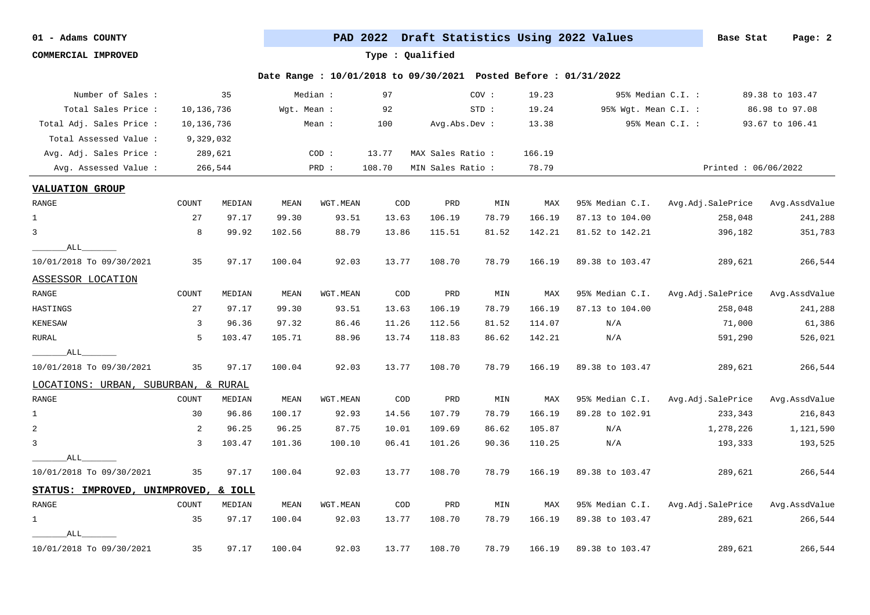**COMMERCIAL IMPROVED Type : Qualified**

| Number of Sales :                   |            | 35      |             | Median : | 97                          |                   | COV:  | 19.23  |                      | 95% Median C.I. :   | 89.38 to 103.47 |
|-------------------------------------|------------|---------|-------------|----------|-----------------------------|-------------------|-------|--------|----------------------|---------------------|-----------------|
| Total Sales Price :                 | 10,136,736 |         | Wgt. Mean : |          | 92                          |                   | STD:  | 19.24  | 95% Wgt. Mean C.I. : |                     | 86.98 to 97.08  |
| Total Adj. Sales Price :            | 10,136,736 |         |             | Mean :   | 100                         | Avg.Abs.Dev :     |       | 13.38  |                      | 95% Mean C.I. :     | 93.67 to 106.41 |
| Total Assessed Value:               | 9,329,032  |         |             |          |                             |                   |       |        |                      |                     |                 |
| Avg. Adj. Sales Price :             |            | 289,621 |             | COD:     | 13.77                       | MAX Sales Ratio : |       | 166.19 |                      |                     |                 |
| Avg. Assessed Value:                |            | 266,544 |             | PRD :    | 108.70                      | MIN Sales Ratio : |       | 78.79  |                      | Printed: 06/06/2022 |                 |
| <b>VALUATION GROUP</b>              |            |         |             |          |                             |                   |       |        |                      |                     |                 |
| RANGE                               | COUNT      | MEDIAN  | MEAN        | WGT.MEAN | COD                         | PRD               | MIN   | MAX    | 95% Median C.I.      | Avg.Adj.SalePrice   | Avg.AssdValue   |
| $\mathbf{1}$                        | 27         | 97.17   | 99.30       | 93.51    | 13.63                       | 106.19            | 78.79 | 166.19 | 87.13 to 104.00      | 258,048             | 241,288         |
| $\mathbf{3}$                        | 8          | 99.92   | 102.56      | 88.79    | 13.86                       | 115.51            | 81.52 | 142.21 | 81.52 to 142.21      | 396,182             | 351,783         |
| ALL                                 |            |         |             |          |                             |                   |       |        |                      |                     |                 |
| 10/01/2018 To 09/30/2021            | 35         | 97.17   | 100.04      | 92.03    | 13.77                       | 108.70            | 78.79 | 166.19 | 89.38 to 103.47      | 289,621             | 266,544         |
| ASSESSOR LOCATION                   |            |         |             |          |                             |                   |       |        |                      |                     |                 |
| RANGE                               | COUNT      | MEDIAN  | MEAN        | WGT.MEAN | $\mathop{\rm COD}\nolimits$ | PRD               | MIN   | MAX    | 95% Median C.I.      | Avg.Adj.SalePrice   | Avg.AssdValue   |
| HASTINGS                            | 27         | 97.17   | 99.30       | 93.51    | 13.63                       | 106.19            | 78.79 | 166.19 | 87.13 to 104.00      | 258,048             | 241,288         |
| KENESAW                             | 3          | 96.36   | 97.32       | 86.46    | 11.26                       | 112.56            | 81.52 | 114.07 | N/A                  | 71,000              | 61,386          |
| RURAL                               | 5          | 103.47  | 105.71      | 88.96    | 13.74                       | 118.83            | 86.62 | 142.21 | N/A                  | 591,290             | 526,021         |
| ALL                                 |            |         |             |          |                             |                   |       |        |                      |                     |                 |
| 10/01/2018 To 09/30/2021            | 35         | 97.17   | 100.04      | 92.03    | 13.77                       | 108.70            | 78.79 | 166.19 | 89.38 to 103.47      | 289,621             | 266,544         |
| LOCATIONS: URBAN, SUBURBAN, & RURAL |            |         |             |          |                             |                   |       |        |                      |                     |                 |
| RANGE                               | COUNT      | MEDIAN  | MEAN        | WGT.MEAN | COD                         | PRD               | MIN   | MAX    | 95% Median C.I.      | Avg.Adj.SalePrice   | Avg.AssdValue   |
| $\mathbf{1}$                        | 30         | 96.86   | 100.17      | 92.93    | 14.56                       | 107.79            | 78.79 | 166.19 | 89.28 to 102.91      | 233,343             | 216,843         |
| $\overline{a}$                      | 2          | 96.25   | 96.25       | 87.75    | 10.01                       | 109.69            | 86.62 | 105.87 | N/A                  | 1,278,226           | 1,121,590       |
| $\overline{3}$                      | 3          | 103.47  | 101.36      | 100.10   | 06.41                       | 101.26            | 90.36 | 110.25 | N/A                  | 193,333             | 193,525         |
| ALL                                 |            |         |             |          |                             |                   |       |        |                      |                     |                 |
| 10/01/2018 To 09/30/2021            | 35         | 97.17   | 100.04      | 92.03    | 13.77                       | 108.70            | 78.79 | 166.19 | 89.38 to 103.47      | 289,621             | 266,544         |
| STATUS: IMPROVED, UNIMPROVED,       |            | & IOLL  |             |          |                             |                   |       |        |                      |                     |                 |
| RANGE                               | COUNT      | MEDIAN  | MEAN        | WGT.MEAN | $\mathop{\rm COD}\nolimits$ | PRD               | MIN   | MAX    | 95% Median C.I.      | Avg.Adj.SalePrice   | Avg.AssdValue   |
| $\mathbf 1$                         | 35         | 97.17   | 100.04      | 92.03    | 13.77                       | 108.70            | 78.79 | 166.19 | 89.38 to 103.47      | 289,621             | 266,544         |
| ALL                                 |            |         |             |          |                             |                   |       |        |                      |                     |                 |
| 10/01/2018 To 09/30/2021            | 35         | 97.17   | 100.04      | 92.03    | 13.77                       | 108.70            | 78.79 | 166.19 | 89.38 to 103.47      | 289,621             | 266,544         |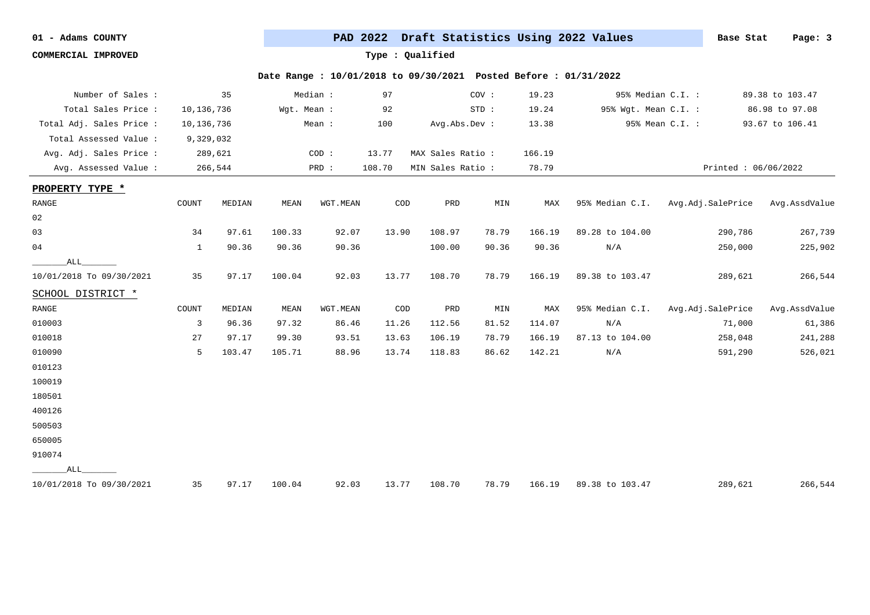**COMMERCIAL IMPROVED Type : Qualified**

| Number of Sales :        |              | 35      |             | Median : | 97                          |                   | COV:           | 19.23  | 95% Median C.I. :    |                     | 89.38 to 103.47 |
|--------------------------|--------------|---------|-------------|----------|-----------------------------|-------------------|----------------|--------|----------------------|---------------------|-----------------|
| Total Sales Price :      | 10,136,736   |         | Wqt. Mean : |          | 92                          |                   | $STD$ :        | 19.24  | 95% Wgt. Mean C.I. : |                     | 86.98 to 97.08  |
| Total Adj. Sales Price : | 10,136,736   |         |             | Mean :   | 100                         | Avg.Abs.Dev :     |                | 13.38  |                      | 95% Mean C.I. :     | 93.67 to 106.41 |
| Total Assessed Value :   | 9,329,032    |         |             |          |                             |                   |                |        |                      |                     |                 |
| Avg. Adj. Sales Price :  |              | 289,621 |             | COD:     | 13.77                       | MAX Sales Ratio : |                | 166.19 |                      |                     |                 |
| Avg. Assessed Value:     |              | 266,544 |             | PRD :    | 108.70                      | MIN Sales Ratio : |                | 78.79  |                      | Printed: 06/06/2022 |                 |
| PROPERTY TYPE *          |              |         |             |          |                             |                   |                |        |                      |                     |                 |
| RANGE                    | COUNT        | MEDIAN  | MEAN        | WGT.MEAN | COD                         | PRD               | MIN            | MAX    | 95% Median C.I.      | Avg.Adj.SalePrice   | Avg.AssdValue   |
| 02                       |              |         |             |          |                             |                   |                |        |                      |                     |                 |
| 03                       | 34           | 97.61   | 100.33      | 92.07    | 13.90                       | 108.97            | 78.79          | 166.19 | 89.28 to 104.00      | 290,786             | 267,739         |
| 04                       | $\mathbf{1}$ | 90.36   | 90.36       | 90.36    |                             | 100.00            | 90.36          | 90.36  | N/A                  | 250,000             | 225,902         |
| ALL                      |              |         |             |          |                             |                   |                |        |                      |                     |                 |
| 10/01/2018 To 09/30/2021 | 35           | 97.17   | 100.04      | 92.03    | 13.77                       | 108.70            | 78.79          | 166.19 | 89.38 to 103.47      | 289,621             | 266,544         |
| SCHOOL DISTRICT *        |              |         |             |          |                             |                   |                |        |                      |                     |                 |
| ${\tt RANGE}$            | COUNT        | MEDIAN  | MEAN        | WGT.MEAN | $\mathop{\rm COD}\nolimits$ | PRD               | $\texttt{MIN}$ | MAX    | 95% Median C.I.      | Avg.Adj.SalePrice   | Avg.AssdValue   |
| 010003                   | 3            | 96.36   | 97.32       | 86.46    | 11.26                       | 112.56            | 81.52          | 114.07 | N/A                  | 71,000              | 61,386          |
| 010018                   | 27           | 97.17   | 99.30       | 93.51    | 13.63                       | 106.19            | 78.79          | 166.19 | 87.13 to 104.00      | 258,048             | 241,288         |
| 010090                   | 5            | 103.47  | 105.71      | 88.96    | 13.74                       | 118.83            | 86.62          | 142.21 | N/A                  | 591,290             | 526,021         |
| 010123                   |              |         |             |          |                             |                   |                |        |                      |                     |                 |
| 100019                   |              |         |             |          |                             |                   |                |        |                      |                     |                 |
| 180501                   |              |         |             |          |                             |                   |                |        |                      |                     |                 |
| 400126                   |              |         |             |          |                             |                   |                |        |                      |                     |                 |
| 500503                   |              |         |             |          |                             |                   |                |        |                      |                     |                 |
| 650005                   |              |         |             |          |                             |                   |                |        |                      |                     |                 |
| 910074                   |              |         |             |          |                             |                   |                |        |                      |                     |                 |
| ALL                      |              |         |             |          |                             |                   |                |        |                      |                     |                 |
| 10/01/2018 To 09/30/2021 | 35           | 97.17   | 100.04      | 92.03    | 13.77                       | 108.70            | 78.79          | 166.19 | 89.38 to 103.47      | 289,621             | 266,544         |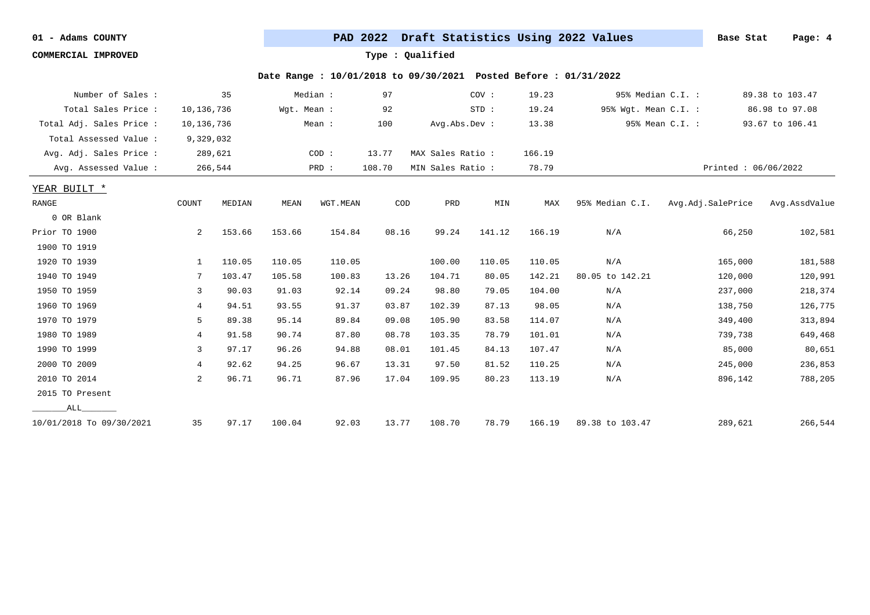**COMMERCIAL IMPROVED Type : Qualified**

| Number of Sales :        |                | 35      |             | Median : | 97     |                   | COV:   | 19.23  | 95% Median C.I. :    |                   | 89.38 to 103.47     |
|--------------------------|----------------|---------|-------------|----------|--------|-------------------|--------|--------|----------------------|-------------------|---------------------|
| Total Sales Price :      | 10,136,736     |         | Wqt. Mean : |          | 92     |                   | STD:   | 19.24  | 95% Wgt. Mean C.I. : |                   | 86.98 to 97.08      |
| Total Adj. Sales Price : | 10,136,736     |         |             | Mean :   | 100    | Avg.Abs.Dev :     |        | 13.38  |                      | 95% Mean C.I. :   | 93.67 to 106.41     |
| Total Assessed Value:    | 9,329,032      |         |             |          |        |                   |        |        |                      |                   |                     |
| Avg. Adj. Sales Price :  |                | 289,621 |             | COD:     | 13.77  | MAX Sales Ratio : |        | 166.19 |                      |                   |                     |
| Avg. Assessed Value :    |                | 266,544 |             | PRD :    | 108.70 | MIN Sales Ratio : |        | 78.79  |                      |                   | Printed: 06/06/2022 |
| YEAR BUILT *             |                |         |             |          |        |                   |        |        |                      |                   |                     |
| RANGE                    | COUNT          | MEDIAN  | MEAN        | WGT.MEAN | COD    | PRD               | MIN    | MAX    | 95% Median C.I.      | Avg.Adj.SalePrice | Avg.AssdValue       |
| 0 OR Blank               |                |         |             |          |        |                   |        |        |                      |                   |                     |
| Prior TO 1900            | 2              | 153.66  | 153.66      | 154.84   | 08.16  | 99.24             | 141.12 | 166.19 | N/A                  | 66,250            | 102,581             |
| 1900 TO 1919             |                |         |             |          |        |                   |        |        |                      |                   |                     |
| 1920 TO 1939             | $\mathbf{1}$   | 110.05  | 110.05      | 110.05   |        | 100.00            | 110.05 | 110.05 | N/A                  | 165,000           | 181,588             |
| 1940 TO 1949             | 7              | 103.47  | 105.58      | 100.83   | 13.26  | 104.71            | 80.05  | 142.21 | 80.05 to 142.21      | 120,000           | 120,991             |
| 1950 TO 1959             | 3              | 90.03   | 91.03       | 92.14    | 09.24  | 98.80             | 79.05  | 104.00 | N/A                  | 237,000           | 218,374             |
| 1960 TO 1969             | 4              | 94.51   | 93.55       | 91.37    | 03.87  | 102.39            | 87.13  | 98.05  | N/A                  | 138,750           | 126,775             |
| 1970 TO 1979             | 5              | 89.38   | 95.14       | 89.84    | 09.08  | 105.90            | 83.58  | 114.07 | N/A                  | 349,400           | 313,894             |
| 1980 TO 1989             | 4              | 91.58   | 90.74       | 87.80    | 08.78  | 103.35            | 78.79  | 101.01 | N/A                  | 739,738           | 649,468             |
| 1990 TO 1999             | 3              | 97.17   | 96.26       | 94.88    | 08.01  | 101.45            | 84.13  | 107.47 | N/A                  | 85,000            | 80,651              |
| 2000 TO 2009             | 4              | 92.62   | 94.25       | 96.67    | 13.31  | 97.50             | 81.52  | 110.25 | N/A                  | 245,000           | 236,853             |
| 2010 TO 2014             | $\overline{2}$ | 96.71   | 96.71       | 87.96    | 17.04  | 109.95            | 80.23  | 113.19 | N/A                  | 896,142           | 788,205             |
| 2015 TO Present          |                |         |             |          |        |                   |        |        |                      |                   |                     |
| ALL                      |                |         |             |          |        |                   |        |        |                      |                   |                     |
| 10/01/2018 To 09/30/2021 | 35             | 97.17   | 100.04      | 92.03    | 13.77  | 108.70            | 78.79  | 166.19 | 89.38 to 103.47      | 289,621           | 266,544             |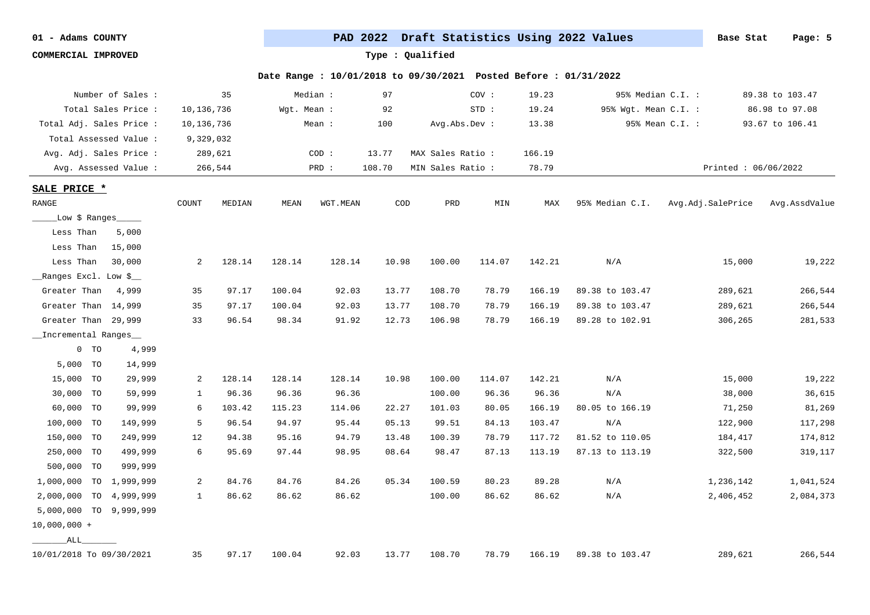**COMMERCIAL IMPROVED Type : Qualified**

| Number of Sales :        |           |            | 35      |             | Median : | 97     |                   | COV:   | 19.23  | 95% Median C.I. :    |                     | 89.38 to 103.47 |
|--------------------------|-----------|------------|---------|-------------|----------|--------|-------------------|--------|--------|----------------------|---------------------|-----------------|
| Total Sales Price :      |           | 10,136,736 |         | Wgt. Mean : |          | 92     |                   | STD:   | 19.24  | 95% Wgt. Mean C.I. : |                     | 86.98 to 97.08  |
| Total Adj. Sales Price : |           | 10,136,736 |         |             | Mean :   | 100    | Avg.Abs.Dev :     |        | 13.38  |                      | 95% Mean C.I. :     | 93.67 to 106.41 |
| Total Assessed Value :   |           | 9,329,032  |         |             |          |        |                   |        |        |                      |                     |                 |
| Avg. Adj. Sales Price :  |           | 289,621    |         |             | COD:     | 13.77  | MAX Sales Ratio : |        | 166.19 |                      |                     |                 |
| Avg. Assessed Value :    |           |            | 266,544 |             | PRD :    | 108.70 | MIN Sales Ratio:  |        | 78.79  |                      | Printed: 06/06/2022 |                 |
| SALE PRICE *             |           |            |         |             |          |        |                   |        |        |                      |                     |                 |
| RANGE                    |           | COUNT      | MEDIAN  | MEAN        | WGT.MEAN | COD    | PRD               | MIN    | MAX    | 95% Median C.I.      | Avg.Adj.SalePrice   | Avg.AssdValue   |
| __Low \$ Ranges____      |           |            |         |             |          |        |                   |        |        |                      |                     |                 |
| Less Than<br>5,000       |           |            |         |             |          |        |                   |        |        |                      |                     |                 |
| Less Than<br>15,000      |           |            |         |             |          |        |                   |        |        |                      |                     |                 |
| Less Than<br>30,000      |           | 2          | 128.14  | 128.14      | 128.14   | 10.98  | 100.00            | 114.07 | 142.21 | N/A                  | 15,000              | 19,222          |
| __Ranges Excl. Low \$__  |           |            |         |             |          |        |                   |        |        |                      |                     |                 |
| Greater Than<br>4,999    |           | 35         | 97.17   | 100.04      | 92.03    | 13.77  | 108.70            | 78.79  | 166.19 | 89.38 to 103.47      | 289,621             | 266,544         |
| Greater Than 14,999      |           | 35         | 97.17   | 100.04      | 92.03    | 13.77  | 108.70            | 78.79  | 166.19 | 89.38 to 103.47      | 289,621             | 266,544         |
| Greater Than 29,999      |           | 33         | 96.54   | 98.34       | 91.92    | 12.73  | 106.98            | 78.79  | 166.19 | 89.28 to 102.91      | 306,265             | 281,533         |
| _Incremental Ranges_     |           |            |         |             |          |        |                   |        |        |                      |                     |                 |
| $0$ TO                   | 4,999     |            |         |             |          |        |                   |        |        |                      |                     |                 |
| 5,000 TO                 | 14,999    |            |         |             |          |        |                   |        |        |                      |                     |                 |
| 15,000<br><b>TO</b>      | 29,999    | 2          | 128.14  | 128.14      | 128.14   | 10.98  | 100.00            | 114.07 | 142.21 | N/A                  | 15,000              | 19,222          |
| 30,000 TO                | 59,999    | 1          | 96.36   | 96.36       | 96.36    |        | 100.00            | 96.36  | 96.36  | N/A                  | 38,000              | 36,615          |
| 60,000 TO                | 99,999    | 6          | 103.42  | 115.23      | 114.06   | 22.27  | 101.03            | 80.05  | 166.19 | 80.05 to 166.19      | 71,250              | 81,269          |
| 100,000 TO               | 149,999   | 5          | 96.54   | 94.97       | 95.44    | 05.13  | 99.51             | 84.13  | 103.47 | N/A                  | 122,900             | 117,298         |
| 150,000 TO               | 249,999   | 12         | 94.38   | 95.16       | 94.79    | 13.48  | 100.39            | 78.79  | 117.72 | 81.52 to 110.05      | 184,417             | 174,812         |
| 250,000 TO               | 499,999   | 6          | 95.69   | 97.44       | 98.95    | 08.64  | 98.47             | 87.13  | 113.19 | 87.13 to 113.19      | 322,500             | 319,117         |
| 500,000 TO               | 999,999   |            |         |             |          |        |                   |        |        |                      |                     |                 |
| 1,000,000 TO 1,999,999   |           | 2          | 84.76   | 84.76       | 84.26    | 05.34  | 100.59            | 80.23  | 89.28  | N/A                  | 1,236,142           | 1,041,524       |
| 2,000,000<br><b>TO</b>   | 4,999,999 | 1          | 86.62   | 86.62       | 86.62    |        | 100.00            | 86.62  | 86.62  | N/A                  | 2,406,452           | 2,084,373       |
| 5,000,000 TO             | 9,999,999 |            |         |             |          |        |                   |        |        |                      |                     |                 |
| $10,000,000 +$           |           |            |         |             |          |        |                   |        |        |                      |                     |                 |
| ALL                      |           |            |         |             |          |        |                   |        |        |                      |                     |                 |
| 10/01/2018 To 09/30/2021 |           | 35         | 97.17   | 100.04      | 92.03    | 13.77  | 108.70            | 78.79  | 166.19 | 89.38 to 103.47      | 289,621             | 266,544         |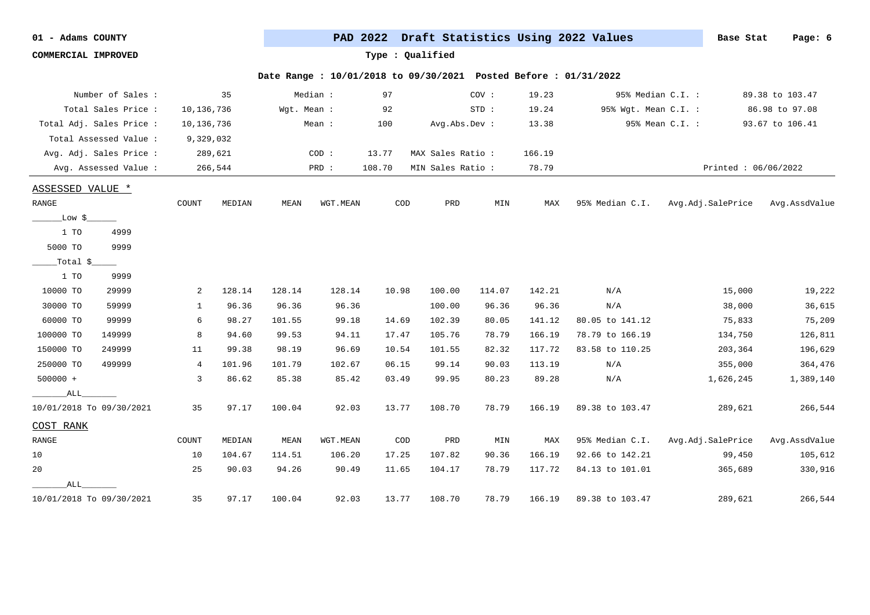**COMMERCIAL IMPROVED Type : Qualified**

| Number of Sales :             |                | 35        |             | Median : | 97     |                   | COV:   | 19.23  | 95% Median C.I. :    |                     | 89.38 to 103.47 |
|-------------------------------|----------------|-----------|-------------|----------|--------|-------------------|--------|--------|----------------------|---------------------|-----------------|
| Total Sales Price :           | 10,136,736     |           | Wgt. Mean : |          | 92     |                   | STD:   | 19.24  | 95% Wgt. Mean C.I. : |                     | 86.98 to 97.08  |
| Total Adj. Sales Price :      | 10,136,736     |           |             | Mean :   | 100    | Avg.Abs.Dev :     |        | 13.38  |                      | 95% Mean C.I. :     | 93.67 to 106.41 |
| Total Assessed Value :        |                | 9,329,032 |             |          |        |                   |        |        |                      |                     |                 |
| Avg. Adj. Sales Price :       |                | 289,621   |             | COD:     | 13.77  | MAX Sales Ratio : |        | 166.19 |                      |                     |                 |
| Avg. Assessed Value:          |                | 266,544   |             | PRD :    | 108.70 | MIN Sales Ratio : |        | 78.79  |                      | Printed: 06/06/2022 |                 |
| <b>ASSESSED VALUE *</b>       |                |           |             |          |        |                   |        |        |                      |                     |                 |
| $\ensuremath{\mathsf{RANGE}}$ | COUNT          | MEDIAN    | MEAN        | WGT.MEAN | COD    | PRD               | MIN    | MAX    | 95% Median C.I.      | Avg.Adj.SalePrice   | Avg.AssdValue   |
| _Low \$_                      |                |           |             |          |        |                   |        |        |                      |                     |                 |
| 1 TO<br>4999                  |                |           |             |          |        |                   |        |        |                      |                     |                 |
| 5000 TO<br>9999               |                |           |             |          |        |                   |        |        |                      |                     |                 |
| $Total S_$                    |                |           |             |          |        |                   |        |        |                      |                     |                 |
| 1 TO<br>9999                  |                |           |             |          |        |                   |        |        |                      |                     |                 |
| 10000 TO<br>29999             | 2              | 128.14    | 128.14      | 128.14   | 10.98  | 100.00            | 114.07 | 142.21 | N/A                  | 15,000              | 19,222          |
| 30000 TO<br>59999             | 1              | 96.36     | 96.36       | 96.36    |        | 100.00            | 96.36  | 96.36  | N/A                  | 38,000              | 36,615          |
| 60000 TO<br>99999             | 6              | 98.27     | 101.55      | 99.18    | 14.69  | 102.39            | 80.05  | 141.12 | 80.05 to 141.12      | 75,833              | 75,209          |
| 100000 TO<br>149999           | 8              | 94.60     | 99.53       | 94.11    | 17.47  | 105.76            | 78.79  | 166.19 | 78.79 to 166.19      | 134,750             | 126,811         |
| 150000 TO<br>249999           | 11             | 99.38     | 98.19       | 96.69    | 10.54  | 101.55            | 82.32  | 117.72 | 83.58 to 110.25      | 203,364             | 196,629         |
| 250000 TO<br>499999           | $\overline{4}$ | 101.96    | 101.79      | 102.67   | 06.15  | 99.14             | 90.03  | 113.19 | N/A                  | 355,000             | 364,476         |
| $500000 +$                    | $\overline{3}$ | 86.62     | 85.38       | 85.42    | 03.49  | 99.95             | 80.23  | 89.28  | N/A                  | 1,626,245           | 1,389,140       |
| ALL                           |                |           |             |          |        |                   |        |        |                      |                     |                 |
| 10/01/2018 To 09/30/2021      | 35             | 97.17     | 100.04      | 92.03    | 13.77  | 108.70            | 78.79  | 166.19 | 89.38 to 103.47      | 289,621             | 266,544         |
| COST RANK                     |                |           |             |          |        |                   |        |        |                      |                     |                 |
| RANGE                         | COUNT          | MEDIAN    | MEAN        | WGT.MEAN | COD    | PRD               | MIN    | MAX    | 95% Median C.I.      | Avg.Adj.SalePrice   | Avg.AssdValue   |
| 10                            | 10             | 104.67    | 114.51      | 106.20   | 17.25  | 107.82            | 90.36  | 166.19 | 92.66 to 142.21      | 99,450              | 105,612         |
| 20                            | 25             | 90.03     | 94.26       | 90.49    | 11.65  | 104.17            | 78.79  | 117.72 | 84.13 to 101.01      | 365,689             | 330,916         |
| ALL                           |                |           |             |          |        |                   |        |        |                      |                     |                 |
| 10/01/2018 To 09/30/2021      | 35             | 97.17     | 100.04      | 92.03    | 13.77  | 108.70            | 78.79  | 166.19 | 89.38 to 103.47      | 289,621             | 266,544         |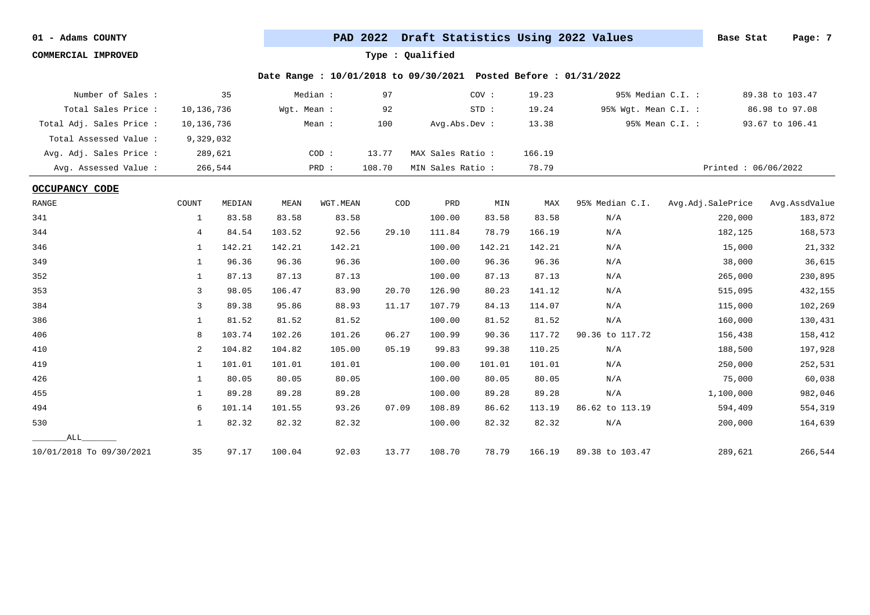**COMMERCIAL IMPROVED Type : Qualified**

| Number of Sales :        |            | 35      |             | Median : | 97     |                  | COV:   | 19.23  | 95% Median C.I. :    |                     | 89.38 to 103.47 |
|--------------------------|------------|---------|-------------|----------|--------|------------------|--------|--------|----------------------|---------------------|-----------------|
| Total Sales Price:       | 10,136,736 |         | Wgt. Mean : |          | 92     |                  | STD:   | 19.24  | 95% Wgt. Mean C.I. : |                     | 86.98 to 97.08  |
| Total Adj. Sales Price : | 10,136,736 |         |             | Mean :   | 100    | Avg.Abs.Dev :    |        | 13.38  |                      | 95% Mean C.I. :     | 93.67 to 106.41 |
| Total Assessed Value :   | 9,329,032  |         |             |          |        |                  |        |        |                      |                     |                 |
| Avg. Adj. Sales Price :  |            | 289,621 |             | COD:     | 13.77  | MAX Sales Ratio: |        | 166.19 |                      |                     |                 |
| Avg. Assessed Value:     |            | 266,544 |             | PRD :    | 108.70 | MIN Sales Ratio: |        | 78.79  |                      | Printed: 06/06/2022 |                 |
| <b>OCCUPANCY CODE</b>    |            |         |             |          |        |                  |        |        |                      |                     |                 |
| <b>RANGE</b>             | COUNT      | MEDIAN  | MEAN        | WGT.MEAN | COD    | PRD              | MIN    | MAX    | 95% Median C.I.      | Avg.Adj.SalePrice   | Avg.AssdValue   |
| 341                      | 1          | 83.58   | 83.58       | 83.58    |        | 100.00           | 83.58  | 83.58  | N/A                  | 220,000             | 183,872         |
| 344                      | 4          | 84.54   | 103.52      | 92.56    | 29.10  | 111.84           | 78.79  | 166.19 | N/A                  | 182,125             | 168,573         |
| 346                      | 1          | 142.21  | 142.21      | 142.21   |        | 100.00           | 142.21 | 142.21 | N/A                  | 15,000              | 21,332          |
| 349                      | 1          | 96.36   | 96.36       | 96.36    |        | 100.00           | 96.36  | 96.36  | N/A                  | 38,000              | 36,615          |
| 352                      | 1          | 87.13   | 87.13       | 87.13    |        | 100.00           | 87.13  | 87.13  | N/A                  | 265,000             | 230,895         |
| 353                      | 3          | 98.05   | 106.47      | 83.90    | 20.70  | 126.90           | 80.23  | 141.12 | N/A                  | 515,095             | 432,155         |
| 384                      | 3          | 89.38   | 95.86       | 88.93    | 11.17  | 107.79           | 84.13  | 114.07 | N/A                  | 115,000             | 102,269         |
| 386                      | 1          | 81.52   | 81.52       | 81.52    |        | 100.00           | 81.52  | 81.52  | N/A                  | 160,000             | 130,431         |
| 406                      | 8          | 103.74  | 102.26      | 101.26   | 06.27  | 100.99           | 90.36  | 117.72 | 90.36 to 117.72      | 156,438             | 158,412         |
| 410                      | 2          | 104.82  | 104.82      | 105.00   | 05.19  | 99.83            | 99.38  | 110.25 | N/A                  | 188,500             | 197,928         |
| 419                      | 1          | 101.01  | 101.01      | 101.01   |        | 100.00           | 101.01 | 101.01 | N/A                  | 250,000             | 252,531         |
| 426                      | 1          | 80.05   | 80.05       | 80.05    |        | 100.00           | 80.05  | 80.05  | N/A                  | 75,000              | 60,038          |
| 455                      | 1          | 89.28   | 89.28       | 89.28    |        | 100.00           | 89.28  | 89.28  | N/A                  | 1,100,000           | 982,046         |
| 494                      | 6          | 101.14  | 101.55      | 93.26    | 07.09  | 108.89           | 86.62  | 113.19 | 86.62 to 113.19      | 594,409             | 554,319         |
| 530                      | 1          | 82.32   | 82.32       | 82.32    |        | 100.00           | 82.32  | 82.32  | N/A                  | 200,000             | 164,639         |
| ALL                      |            |         |             |          |        |                  |        |        |                      |                     |                 |
| 10/01/2018 To 09/30/2021 | 35         | 97.17   | 100.04      | 92.03    | 13.77  | 108.70           | 78.79  | 166.19 | 89.38 to 103.47      | 289,621             | 266,544         |